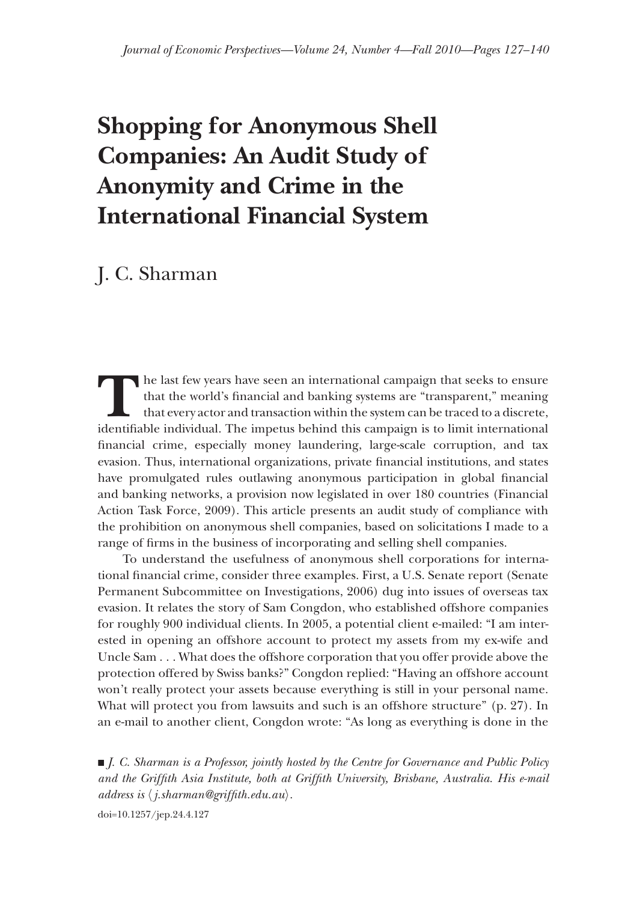# **Shopping for Anonymous Shell Companies: An Audit Study of Anonymity and Crime in the International Financial System**

# J. C. Sharman

The last few years have seen an international campaign that seeks to ensure that the world's financial and banking systems are "transparent," meaning that every actor and transaction within the system can be traced to a discrete, hat every actor and transaction within the system can be traced to a discrete, identifiable individual. The impetus behind this campaign is to limit international financial crime, especially money laundering, large-scale corruption, and tax evasion. Thus, international organizations, private financial institutions, and states have promulgated rules outlawing anonymous participation in global financial and banking networks, a provision now legislated in over 180 countries (Financial Action Task Force, 2009). This article presents an audit study of compliance with the prohibition on anonymous shell companies, based on solicitations I made to a range of firms in the business of incorporating and selling shell companies.

To understand the usefulness of anonymous shell corporations for international financial crime, consider three examples. First, a U.S. Senate report (Senate Permanent Subcommittee on Investigations, 2006) dug into issues of overseas tax evasion. It relates the story of Sam Congdon, who established offshore companies for roughly 900 individual clients. In 2005, a potential client e-mailed: "I am interested in opening an offshore account to protect my assets from my ex-wife and Uncle Sam  $\dots$  What does the offshore corporation that you offer provide above the protection offered by Swiss banks?" Congdon replied: "Having an offshore account won't really protect your assets because everything is still in your personal name. What will protect you from lawsuits and such is an offshore structure"  $(p, 27)$ . In an e-mail to another client, Congdon wrote: "As long as everything is done in the

■ *J. C. Sharman is a Professor, jointly hosted by the Centre for Governance and Public Policy* and the Griffith Asia Institute, both at Griffith University, Brisbane, Australia. His e-mail *address is*  $\langle$  *j.sharman@griffith.edu.au* $\rangle$ *.* 

doi=10.1257/jep.24.4.127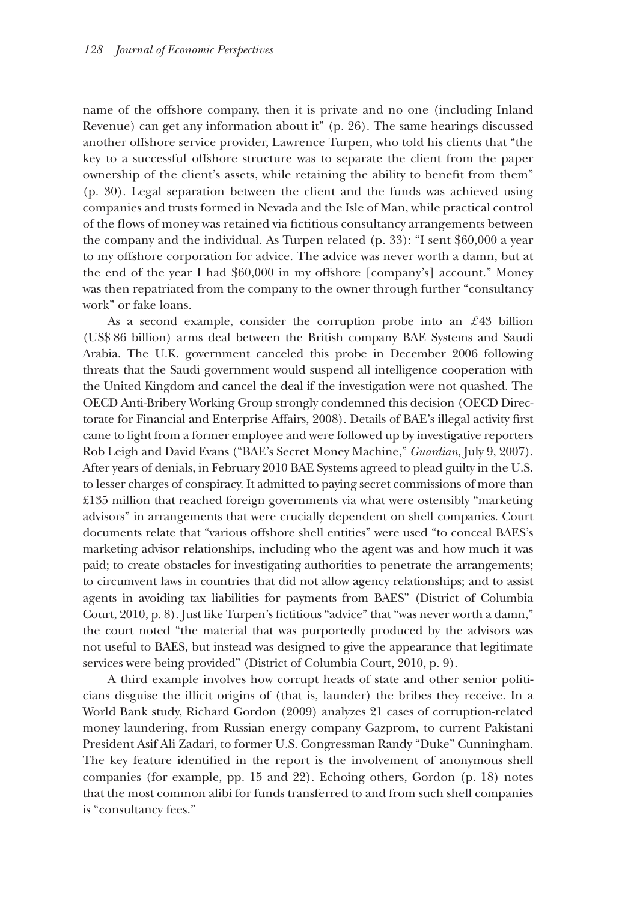name of the offshore company, then it is private and no one (including Inland Revenue) can get any information about it"  $(p. 26)$ . The same hearings discussed another offshore service provider, Lawrence Turpen, who told his clients that "the key to a successful offshore structure was to separate the client from the paper ownership of the client's assets, while retaining the ability to benefit from them"  $(p. 30)$ . Legal separation between the client and the funds was achieved using companies and trusts formed in Nevada and the Isle of Man, while practical control of the flows of money was retained via fictitious consultancy arrangements between the company and the individual. As Turpen related (p.  $33$ ): "I sent \$60,000 a year to my offshore corporation for advice. The advice was never worth a damn, but at the end of the year I had \$60,000 in my offshore [company's] account." Money was then repatriated from the company to the owner through further "consultancy" work" or fake loans.

As a second example, consider the corruption probe into an  $\pounds 43$  billion (US\$ 86 billion) arms deal between the British company BAE Systems and Saudi Arabia. The U.K. government canceled this probe in December 2006 following threats that the Saudi government would suspend all intelligence cooperation with hreats that the Saudi government would suspend all intelligence cooperation with the United Kingdom and cancel the deal if the investigation were not quashed. The OECD Anti-Bribery Working Group strongly condemned this decision (OECD Direc- ECD Anti-Bribery Working Group strongly condemned this decision (OECD Directorate for Financial and Enterprise Affairs, 2008). Details of BAE's illegal activity first came to light from a former employee and were followed up by investigative reporters Rob Leigh and David Evans ("BAE's Secret Money Machine," *Guardian*, July 9, 2007). After years of denials, in February 2010 BAE Systems agreed to plead guilty in the U.S. to lesser charges of conspiracy. It admitted to paying secret commissions of more than £135 million that reached foreign governments via what were ostensibly "marketing 135 million that reached foreign governments via what were ostensibly "marketing advisors" in arrangements that were crucially dependent on shell companies. Court documents relate that "various offshore shell entities" were used "to conceal BAES's marketing advisor relationships, including who the agent was and how much it was paid; to create obstacles for investigating authorities to penetrate the arrangements; to circumvent laws in countries that did not allow agency relationships; and to assist agents in avoiding tax liabilities for payments from BAES" (District of Columbia Court, 2010, p. 8). Just like Turpen's fictitious "advice" that "was never worth a damn," the court noted "the material that was purportedly produced by the advisors was not useful to BAES, but instead was designed to give the appearance that legitimate services were being provided" (District of Columbia Court, 2010, p. 9).

A third example involves how corrupt heads of state and other senior politi- third example involves how corrupt heads of state and other senior politicians disguise the illicit origins of (that is, launder) the bribes they receive. In a World Bank study, Richard Gordon (2009) analyzes 21 cases of corruption-related money laundering, from Russian energy company Gazprom, to current Pakistani President Asif Ali Zadari, to former U.S. Congressman Randy "Duke" Cunningham. The key feature identified in the report is the involvement of anonymous shell companies (for example, pp. 15 and 22). Echoing others, Gordon (p. 18) notes that the most common alibi for funds transferred to and from such shell companies is "consultancy fees."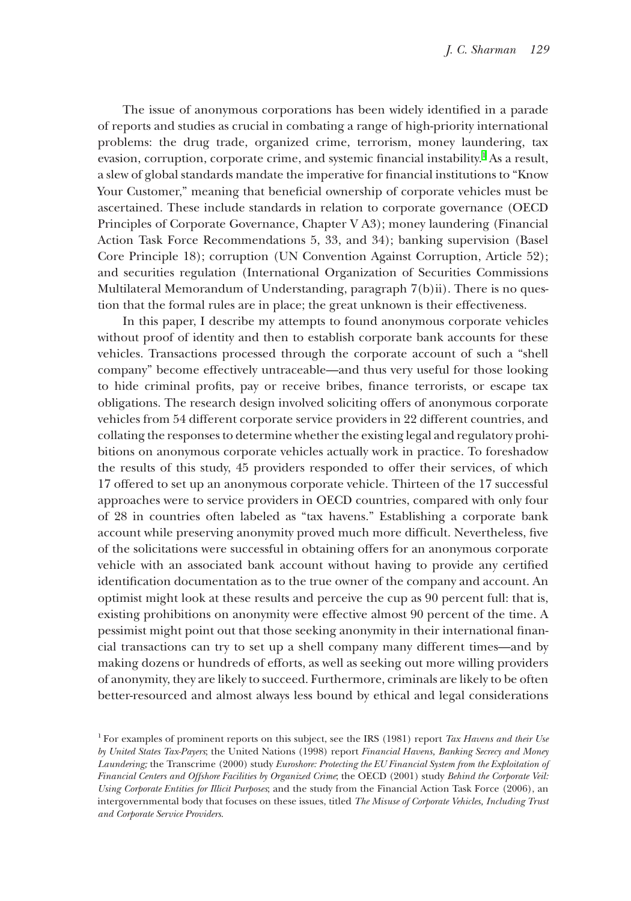The issue of anonymous corporations has been widely identified in a parade of reports and studies as crucial in combating a range of high-priority international f reports and studies as crucial in combating a range of high-priority international problems: the drug trade, organized crime, terrorism, money laundering, tax evasion, corruption, corporate crime, and systemic financial instability.<sup>1</sup> As a result, a slew of global standards mandate the imperative for financial institutions to "Know" Your Customer," meaning that beneficial ownership of corporate vehicles must be ascertained. These include standards in relation to corporate governance (OECD Principles of Corporate Governance, Chapter V A3); money laundering (Financial Action Task Force Recommendations 5, 33, and 34); banking supervision (Basel Core Principle 18); corruption (UN Convention Against Corruption, Article 52); and securities regulation (International Organization of Securities Commissions Multilateral Memorandum of Understanding, paragraph  $7(b)$ ii). There is no question that the formal rules are in place; the great unknown is their effectiveness.

In this paper, I describe my attempts to found anonymous corporate vehicles without proof of identity and then to establish corporate bank accounts for these vehicles. Transactions processed through the corporate account of such a "shell company" become effectively untraceable—and thus very useful for those looking to hide criminal profits, pay or receive bribes, finance terrorists, or escape tax obligations. The research design involved soliciting offers of anonymous corporate bligations. The research design involved soliciting offers of anonymous corporate vehicles from 54 different corporate service providers in 22 different countries, and collating the responses to determine whether the existing legal and regulatory prohibitions on anonymous corporate vehicles actually work in practice. To foreshadow the results of this study, 45 providers responded to offer their services, of which 17 offered to set up an anonymous corporate vehicle. Thirteen of the 17 successful approaches were to service providers in OECD countries, compared with only four of 28 in countries often labeled as "tax havens." Establishing a corporate bank account while preserving anonymity proved much more difficult. Nevertheless, five of the solicitations were successful in obtaining offers for an anonymous corporate vehicle with an associated bank account without having to provide any certified identification documentation as to the true owner of the company and account. An optimist might look at these results and perceive the cup as 90 percent full: that is, existing prohibitions on anonymity were effective almost 90 percent of the time. A pessimist might point out that those seeking anonymity in their international financial transactions can try to set up a shell company many different times—and by making dozens or hundreds of efforts, as well as seeking out more willing providers of anonymity, they are likely to succeed. Furthermore, criminals are likely to be often better-resourced and almost always less bound by ethical and legal considerations

<sup>1</sup> For examples of prominent reports on this subject, see the IRS (1981) report *Tax Havens and their Use by United States Tax-Payers*; the United Nations (1998) report *Financial Havens, Banking Secrecy and Money Laundering;* the Transcrime (2000) study *Euroshore: Protecting the EU Financial System from the Exploitation of Financial Centers and Offshore Facilities by Organized Crime*; the OECD (2001) study *Behind the Corporate Veil: Using Corporate Entities for Illicit Purposes*; and the study from the Financial Action Task Force (2006), an intergovernmental body that focuses on these issues, titled *The Misuse of Corporate Vehicles, Including Trust and Corporate Service Providers*.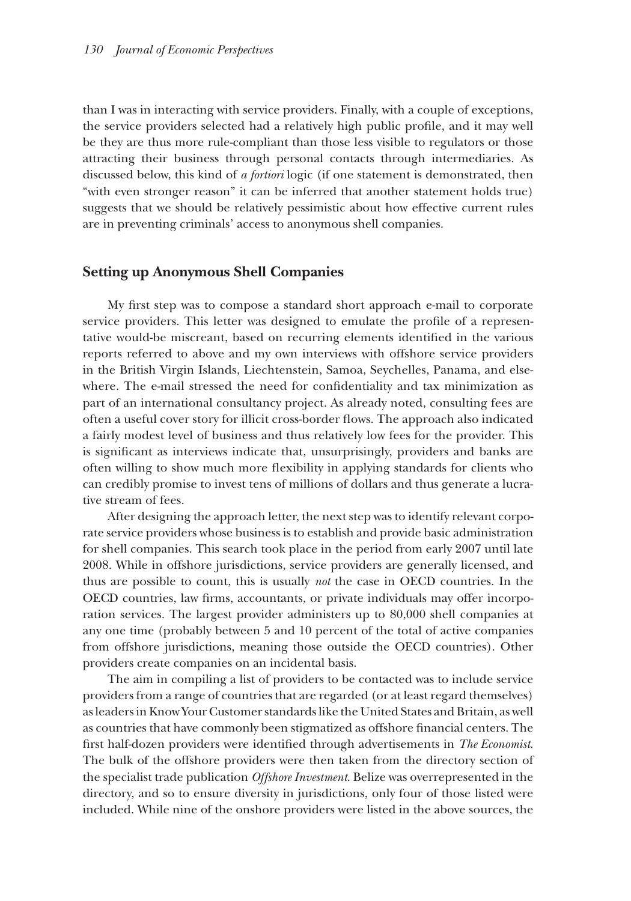than I was in interacting with service providers. Finally, with a couple of exceptions, the service providers selected had a relatively high public profile, and it may well be they are thus more rule-compliant than those less visible to regulators or those attracting their business through personal contacts through intermediaries. As discussed below, this kind of *a fortiori* logic (if one statement is demonstrated, then "with even stronger reason" it can be inferred that another statement holds true) suggests that we should be relatively pessimistic about how effective current rules are in preventing criminals' access to anonymous shell companies.

# **Setting up Anonymous Shell Companies**

My first step was to compose a standard short approach e-mail to corporate service providers. This letter was designed to emulate the profile of a representative would-be miscreant, based on recurring elements identified in the various educationreports referred to above and my own interviews with offshore service providers in the British Virgin Islands, Liechtenstein, Samoa, Seychelles, Panama, and elsewhere. The e-mail stressed the need for confidentiality and tax minimization as part of an international consultancy project. As already noted, consulting fees are often a useful cover story for illicit cross-border flows. The approach also indicated a fairly modest level of business and thus relatively low fees for the provider. This is significant as interviews indicate that, unsurprisingly, providers and banks are often willing to show much more flexibility in applying standards for clients who can credibly promise to invest tens of millions of dollars and thus generate a lucrative stream of fees.

After designing the approach letter, the next step was to identify relevant corporate service providers whose business is to establish and provide basic administration for shell companies. This search took place in the period from early 2007 until late 2008. While in offshore jurisdictions, service providers are generally licensed, and thus are possible to count, this is usually *not* the case in OECD countries. In the OECD countries, law firms, accountants, or private individuals may offer incorporation services. The largest provider administers up to 80,000 shell companies at any one time (probably between 5 and 10 percent of the total of active companies ny one time (probably between 5 and 10 percent of the total of active companies from offshore jurisdictions, meaning those outside the OECD countries). Other providers create companies on an incidental basis.

The aim in compiling a list of providers to be contacted was to include service providers from a range of countries that are regarded (or at least regard themselves) as leaders in Know Your Customer standards like the United States and Britain, as well as countries that have commonly been stigmatized as offshore financial centers. The first half-dozen providers were identified through advertisements in *The Economist*. The bulk of the offshore providers were then taken from the directory section of the specialist trade publication *Offshore Investment*. Belize was overrepresented in the directory, and so to ensure diversity in jurisdictions, only four of those listed were included. While nine of the onshore providers were listed in the above sources, the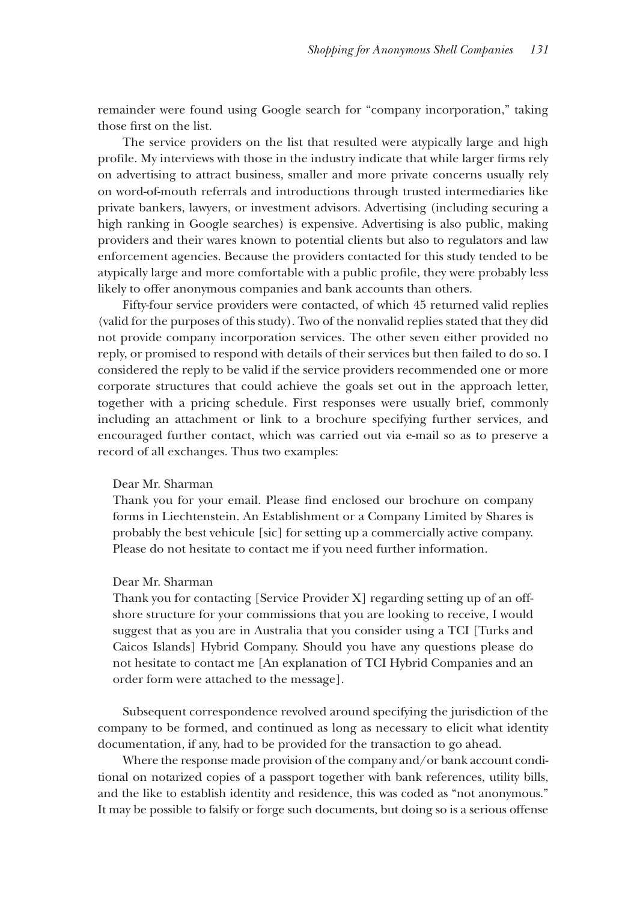remainder were found using Google search for "company incorporation," taking those first on the list.

The service providers on the list that resulted were atypically large and high profile. My interviews with those in the industry indicate that while larger firms rely on advertising to attract business, smaller and more private concerns usually rely on word-of-mouth referrals and introductions through trusted intermediaries like private bankers, lawyers, or investment advisors. Advertising (including securing a high ranking in Google searches) is expensive. Advertising is also public, making providers and their wares known to potential clients but also to regulators and law enforcement agencies. Because the providers contacted for this study tended to be atypically large and more comfortable with a public profile, they were probably less likely to offer anonymous companies and bank accounts than others.

Fifty-four service providers were contacted, of which 45 returned valid replies (valid for the purposes of this study). Two of the nonvalid replies stated that they did not provide company incorporation services. The other seven either provided no reply, or promised to respond with details of their services but then failed to do so. I considered the reply to be valid if the service providers recommended one or more corporate structures that could achieve the goals set out in the approach letter, together with a pricing schedule. First responses were usually brief, commonly including an attachment or link to a brochure specifying further services, and encouraged further contact, which was carried out via e-mail so as to preserve a record of all exchanges. Thus two examples:

#### Dear Mr. Sharman

Thank you for your email. Please find enclosed our brochure on company forms in Liechtenstein. An Establishment or a Company Limited by Shares is probably the best vehicule [sic] for setting up a commercially active company. Please do not hesitate to contact me if you need further information.

#### Dear Mr. Sharman

Thank you for contacting [Service Provider X] regarding setting up of an offshore structure for your commissions that you are looking to receive, I would suggest that as you are in Australia that you consider using a TCI [Turks and Caicos Islands] Hybrid Company. Should you have any questions please do not hesitate to contact me [An explanation of TCI Hybrid Companies and an order form were attached to the message].

Subsequent correspondence revolved around specifying the jurisdiction of the company to be formed, and continued as long as necessary to elicit what identity documentation, if any, had to be provided for the transaction to go ahead.

Where the response made provision of the company and/or bank account conditional on notarized copies of a passport together with bank references, utility bills, and the like to establish identity and residence, this was coded as "not anonymous." It may be possible to falsify or forge such documents, but doing so is a serious offense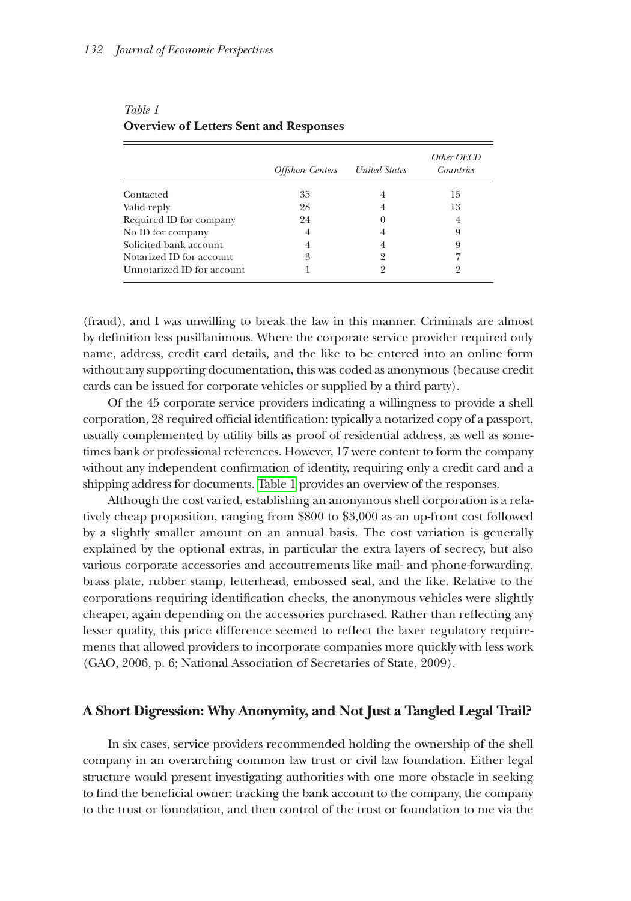|                            | <b>Offshore Centers</b> | United States | Other OECD<br>Countries |
|----------------------------|-------------------------|---------------|-------------------------|
| Contacted                  | 35                      |               | 15                      |
| Valid reply                | 28                      |               | 13                      |
| Required ID for company    | 24                      |               | 4                       |
| No ID for company          | 4                       | 4             | 9                       |
| Solicited bank account     |                         |               |                         |
| Notarized ID for account   | 3                       |               |                         |
| Unnotarized ID for account |                         |               |                         |

# *Table 1* **Overview of Letters Sent and Responses**

(fraud), and I was unwilling to break the law in this manner. Criminals are almost fraud), and I was unwilling to break the law in this manner. Criminals are almost by definition less pusillanimous. Where the corporate service provider required only name, address, credit card details, and the like to be entered into an online form without any supporting documentation, this was coded as anonymous (because credit cards can be issued for corporate vehicles or supplied by a third party).

Of the 45 corporate service providers indicating a willingness to provide a shell corporation, 28 required official identification: typically a notarized copy of a passport, usually complemented by utility bills as proof of residential address, as well as sometimes bank or professional references. However, 17 were content to form the company without any independent confirmation of identity, requiring only a credit card and a shipping address for documents. Table 1 provides an overview of the responses.

Although the cost varied, establishing an anonymous shell corporation is a relatively cheap proposition, ranging from \$800 to \$3,000 as an up-front cost followed by a slightly smaller amount on an annual basis. The cost variation is generally y a slightly smaller amount on an annual basis. The cost variation is generally explained by the optional extras, in particular the extra layers of secrecy, but also various corporate accessories and accoutrements like mail- and phone-forwarding, brass plate, rubber stamp, letterhead, embossed seal, and the like. Relative to the corporations requiring identification checks, the anonymous vehicles were slightly cheaper, again depending on the accessories purchased. Rather than reflecting any lesser quality, this price difference seemed to reflect the laxer regulatory requirements that allowed providers to incorporate companies more quickly with less work (GAO, 2006, p. 6; National Association of Secretaries of State, 2009).

# **A Short Digression: Why Anonymity, and Not Just a Tangled Legal Trail? Short Digression: Why Anonymity, and Not Just a Tangled Legal**

In six cases, service providers recommended holding the ownership of the shell company in an overarching common law trust or civil law foundation. Either legal structure would present investigating authorities with one more obstacle in seeking to find the beneficial owner: tracking the bank account to the company, the company to the trust or foundation, and then control of the trust or foundation to me via the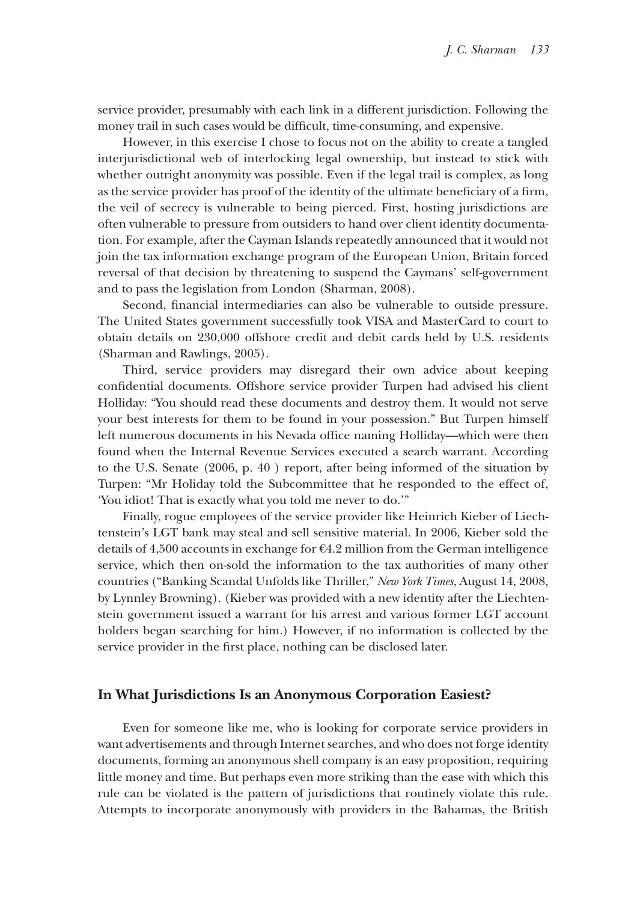service provider, presumably with each link in a different jurisdiction. Following the money trail in such cases would be difficult, time-consuming, and expensive.

However, in this exercise I chose to focus not on the ability to create a tangled interjurisdictional web of interlocking legal ownership, but instead to stick with whether outright anonymity was possible. Even if the legal trail is complex, as long as the service provider has proof of the identity of the ultimate beneficiary of a firm, the veil of secrecy is vulnerable to being pierced. First, hosting jurisdictions are often vulnerable to pressure from outsiders to hand over client identity documentation. For example, after the Cayman Islands repeatedly announced that it would not join the tax information exchange program of the European Union, Britain forced reversal of that decision by threatening to suspend the Caymans' self-government and to pass the legislation from London (Sharman, 2008).

Second, financial intermediaries can also be vulnerable to outside pressure. The United States government successfully took VISA and MasterCard to court to obtain details on 230,000 offshore credit and debit cards held by U.S. residents (Sharman and Rawlings, 2005).

Third, service providers may disregard their own advice about keeping confidential documents. Offshore service provider Turpen had advised his client Holliday: "You should read these documents and destroy them. It would not serve your best interests for them to be found in your possession." But Turpen himself left numerous documents in his Nevada office naming Holliday—which were then found when the Internal Revenue Services executed a search warrant. According to the U.S. Senate  $(2006, p. 40)$  report, after being informed of the situation by Turpen: "Mr Holiday told the Subcommittee that he responded to the effect of, 'You idiot! That is exactly what you told me never to do.'"

Finally, rogue employees of the service provider like Heinrich Kieber of Liechtenstein's LGT bank may steal and sell sensitive material. In 2006, Kieber sold the details of 4,500 accounts in exchange for  $€4.2$  million from the German intelligence service, which then on-sold the information to the tax authorities of many other countries ("Banking Scandal Unfolds like Thriller," *New York Times*, August 14, 2008, by Lynnley Browning). (Kieber was provided with a new identity after the Liechtenstein government issued a warrant for his arrest and various former LGT account holders began searching for him.) However, if no information is collected by the service provider in the first place, nothing can be disclosed later.

#### **In What Jurisdictions Is an Anonymous Corporation Easiest? n What Jurisdictions Is an Anonymous Corporation**

Even for someone like me, who is looking for corporate service providers in want advertisements and through Internet searches, and who does not forge identity documents, forming an anonymous shell company is an easy proposition, requiring little money and time. But perhaps even more striking than the ease with which this rule can be violated is the pattern of jurisdictions that routinely violate this rule. Attempts to incorporate anonymously with providers in the Bahamas, the British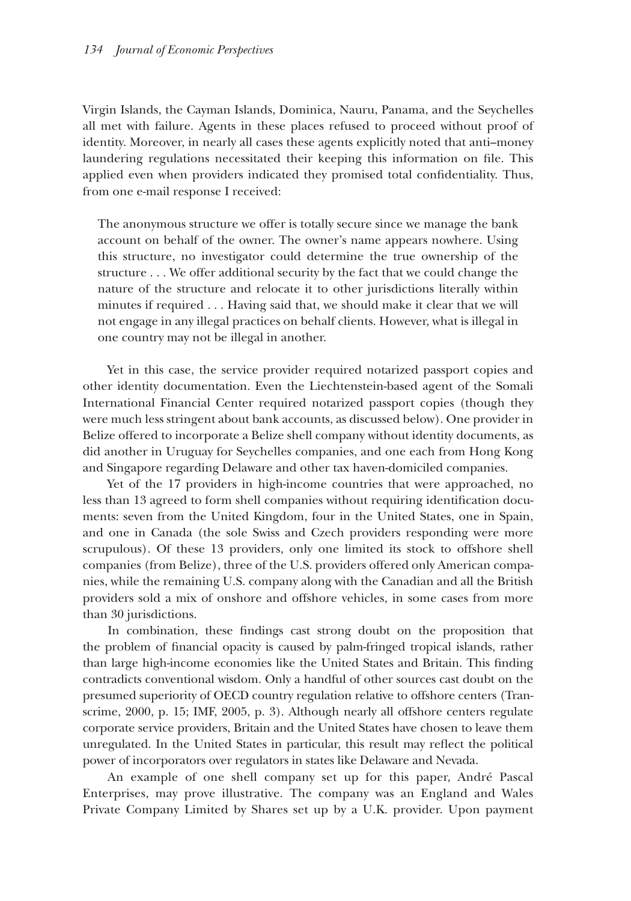Virgin Islands, the Cayman Islands, Dominica, Nauru, Panama, and the Seychelles irgin Islands, the Cayman Islands, Dominica, Nauru, Panama, and the Seychelles all met with failure. Agents in these places refused to proceed without proof of identity. Moreover, in nearly all cases these agents explicitly noted that anti–money laundering regulations necessitated their keeping this information on file. This applied even when providers indicated they promised total confidentiality. Thus, from one e-mail response I received:

The anonymous structure we offer is totally secure since we manage the bank account on behalf of the owner. The owner's name appears nowhere. Using this structure, no investigator could determine the true ownership of the structure . . . We offer additional security by the fact that we could change the nature of the structure and relocate it to other jurisdictions literally within minutes if required . . . Having said that, we should make it clear that we will not engage in any illegal practices on behalf clients. However, what is illegal in one country may not be illegal in another.

Yet in this case, the service provider required notarized passport copies and other identity documentation. Even the Liechtenstein-based agent of the Somali International Financial Center required notarized passport copies (though they were much less stringent about bank accounts, as discussed below). One provider in Belize offered to incorporate a Belize shell company without identity documents, as did another in Uruguay for Seychelles companies, and one each from Hong Kong and Singapore regarding Delaware and other tax haven-domiciled companies.

Yet of the 17 providers in high-income countries that were approached, no less than 13 agreed to form shell companies without requiring identification documents: seven from the United Kingdom, four in the United States, one in Spain, and one in Canada (the sole Swiss and Czech providers responding were more scrupulous). Of these 13 providers, only one limited its stock to offshore shell companies (from Belize), three of the U.S. providers offered only American companies, while the remaining U.S. company along with the Canadian and all the British providers sold a mix of onshore and offshore vehicles, in some cases from more than 30 jurisdictions.

In combination, these findings cast strong doubt on the proposition that the problem of financial opacity is caused by palm-fringed tropical islands, rather than large high-income economies like the United States and Britain. This finding contradicts conventional wisdom. Only a handful of other sources cast doubt on the presumed superiority of OECD country regulation relative to offshore centers (Tran- resumed superiority of OECD country regulation relative to offshore centers (Transcrime,  $2000$ , p. 15; IMF,  $2005$ , p. 3). Although nearly all offshore centers regulate corporate service providers, Britain and the United States have chosen to leave them unregulated. In the United States in particular, this result may reflect the political power of incorporators over regulators in states like Delaware and Nevada.

An example of one shell company set up for this paper, André Pascal Enterprises, may prove illustrative. The company was an England and Wales nterprises, may prove illustrative. The company was an England and Wales Private Company Limited by Shares set up by a U.K. provider. Upon payment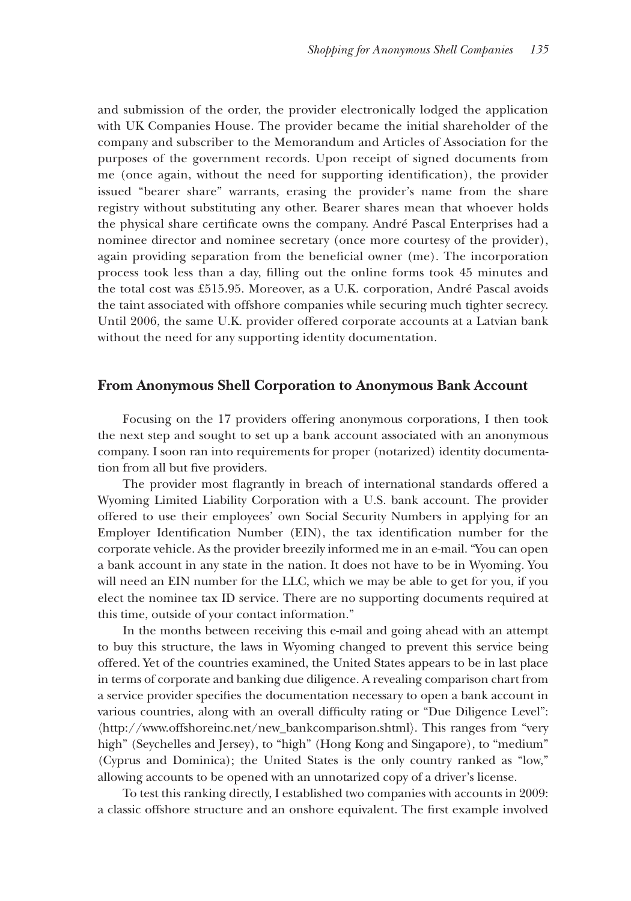and submission of the order, the provider electronically lodged the application with UK Companies House. The provider became the initial shareholder of the company and subscriber to the Memorandum and Articles of Association for the purposes of the government records. Upon receipt of signed documents from me (once again, without the need for supporting identification), the provider issued "bearer share" warrants, erasing the provider's name from the share registry without substituting any other. Bearer shares mean that whoever holds the physical share certificate owns the company. André Pascal Enterprises had a nominee director and nominee secretary (once more courtesy of the provider), again providing separation from the beneficial owner (me). The incorporation process took less than a day, filling out the online forms took 45 minutes and the total cost was £515.95. Moreover, as a U.K. corporation, André Pascal avoids the taint associated with offshore companies while securing much tighter secrecy. Until 2006, the same U.K. provider offered corporate accounts at a Latvian bank without the need for any supporting identity documentation.

#### **From Anonymous Shell Corporation to Anonymous Bank Account rom Anonymous Shell Corporation to Anonymous Bank Account**

Focusing on the 17 providers offering anonymous corporations, I then took the next step and sought to set up a bank account associated with an anonymous company. I soon ran into requirements for proper (notarized) identity documentation from all but five providers.

The provider most flagrantly in breach of international standards offered a Wyoming Limited Liability Corporation with a U.S. bank account. The provider offered to use their employees' own Social Security Numbers in applying for an ffered to use their employees' own Social Security Numbers in applying for an Employer Identification Number (EIN), the tax identification number for the corporate vehicle. As the provider breezily informed me in an e-mail. "You can open a bank account in any state in the nation. It does not have to be in Wyoming. You bank account in any state in the nation. It does not have to be in Wyoming. You will need an EIN number for the LLC, which we may be able to get for you, if you elect the nominee tax ID service. There are no supporting documents required at this time, outside of your contact information."

In the months between receiving this e-mail and going ahead with an attempt to buy this structure, the laws in Wyoming changed to prevent this service being offered. Yet of the countries examined, the United States appears to be in last place ffered. Yet of the countries examined, the United States appears to be in last place in terms of corporate and banking due diligence. A revealing comparison chart from a service provider specifies the documentation necessary to open a bank account in various countries, along with an overall difficulty rating or "Due Diligence Level": ⟨http://www.offshoreinc.net/new\_bankcomparison.shtml ttp://www.offshoreinc.net/new\_bankcomparison.shtml⟩. This ranges from "very This ranges from "very high" (Seychelles and Jersey), to "high" (Hong Kong and Singapore), to "medium" (Cyprus and Dominica); the United States is the only country ranked as "low," allowing accounts to be opened with an unnotarized copy of a driver's license.

To test this ranking directly, I established two companies with accounts in 2009: a classic offshore structure and an onshore equivalent. The first example involved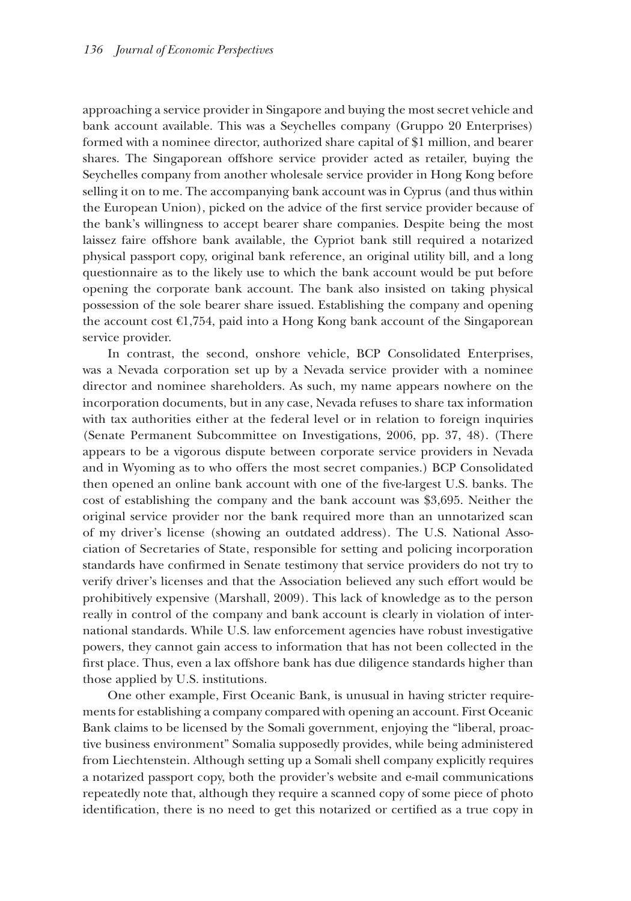approaching a service provider in Singapore and buying the most secret vehicle and bank account available. This was a Seychelles company (Gruppo 20 Enterprises) formed with a nominee director, authorized share capital of  $$1$  million, and bearer shares. The Singaporean offshore service provider acted as retailer, buying the Seychelles company from another wholesale service provider in Hong Kong before selling it on to me. The accompanying bank account was in Cyprus (and thus within the European Union), picked on the advice of the first service provider because of the bank's willingness to accept bearer share companies. Despite being the most laissez faire offshore bank available, the Cypriot bank still required a notarized physical passport copy, original bank reference, an original utility bill, and a long hysical passport copy, original bank reference, an original utility bill, and a long questionnaire as to the likely use to which the bank account would be put before opening the corporate bank account. The bank also insisted on taking physical possession of the sole bearer share issued. Establishing the company and opening the account cost  $\epsilon$ 1,754, paid into a Hong Kong bank account of the Singaporean service provider.

In contrast, the second, onshore vehicle, BCP Consolidated Enterprises, was a Nevada corporation set up by a Nevada service provider with a nominee director and nominee shareholders. As such, my name appears nowhere on the incorporation documents, but in any case, Nevada refuses to share tax information with tax authorities either at the federal level or in relation to foreign inquiries (Senate Permanent Subcommittee on Investigations, 2006, pp. 37, 48). (There appears to be a vigorous dispute between corporate service providers in Nevada and in Wyoming as to who offers the most secret companies.) BCP Consolidated then opened an online bank account with one of the five-largest U.S. banks. The cost of establishing the company and the bank account was \$3,695. Neither the original service provider nor the bank required more than an unnotarized scan of my driver's license (showing an outdated address). The U.S. National Association of Secretaries of State, responsible for setting and policing incorporation standards have confirmed in Senate testimony that service providers do not try to verify driver's licenses and that the Association believed any such effort would be prohibitively expensive (Marshall, 2009). This lack of knowledge as to the person really in control of the company and bank account is clearly in violation of international standards. While U.S. law enforcement agencies have robust investigative powers, they cannot gain access to information that has not been collected in the first place. Thus, even a lax offshore bank has due diligence standards higher than those applied by U.S. institutions.

One other example, First Oceanic Bank, is unusual in having stricter requirements for establishing a company compared with opening an account. First Oceanic Bank claims to be licensed by the Somali government, enjoying the "liberal, proactive business environment" Somalia supposedly provides, while being administered from Liechtenstein. Although setting up a Somali shell company explicitly requires a notarized passport copy, both the provider's website and e-mail communications repeatedly note that, although they require a scanned copy of some piece of photo identification, there is no need to get this notarized or certified as a true copy in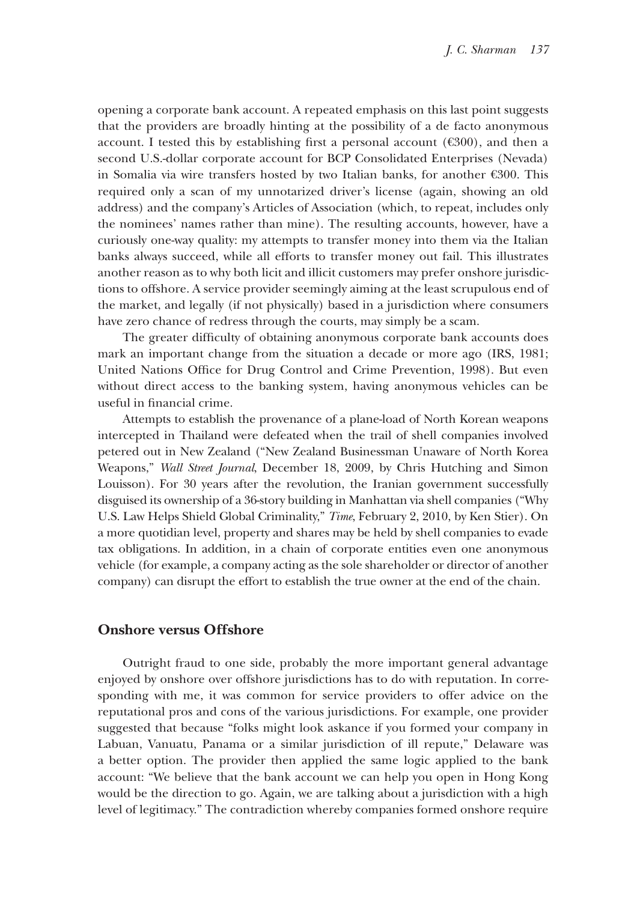opening a corporate bank account. A repeated emphasis on this last point suggests that the providers are broadly hinting at the possibility of a de facto anonymous account. I tested this by establishing first a personal account ( $\epsilon$ 300), and then a second U.S.-dollar corporate account for BCP Consolidated Enterprises (Nevada) in Somalia via wire transfers hosted by two Italian banks, for another  $€300$ . This required only a scan of my unnotarized driver's license (again, showing an old address) and the company's Articles of Association (which, to repeat, includes only the nominees' names rather than mine). The resulting accounts, however, have a curiously one-way quality: my attempts to transfer money into them via the Italian banks always succeed, while all efforts to transfer money out fail. This illustrates another reason as to why both licit and illicit customers may prefer onshore jurisdictions to offshore. A service provider seemingly aiming at the least scrupulous end of the market, and legally (if not physically) based in a jurisdiction where consumers have zero chance of redress through the courts, may simply be a scam.

The greater difficulty of obtaining anonymous corporate bank accounts does mark an important change from the situation a decade or more ago (IRS, 1981; United Nations Office for Drug Control and Crime Prevention, 1998). But even without direct access to the banking system, having anonymous vehicles can be useful in financial crime.

Attempts to establish the provenance of a plane-load of North Korean weapons intercepted in Thailand were defeated when the trail of shell companies involved petered out in New Zealand ("New Zealand Businessman Unaware of North Korea *Weapons," Wall Street Journal*, December 18, 2009, by Chris Hutching and Simon Louisson). For 30 years after the revolution, the Iranian government successfully disguised its ownership of a 36-story building in Manhattan via shell companies ("Why U.S. Law Helps Shield Global Criminality," *Time*, February 2, 2010, by Ken Stier). On a more quotidian level, property and shares may be held by shell companies to evade tax obligations. In addition, in a chain of corporate entities even one anonymous vehicle (for example, a company acting as the sole shareholder or director of another company) can disrupt the effort to establish the true owner at the end of the chain.

#### **Onshore versus Offshore**

Outright fraud to one side, probably the more important general advantage enjoyed by onshore over offshore jurisdictions has to do with reputation. In corresponding with me, it was common for service providers to offer advice on the reputational pros and cons of the various jurisdictions. For example, one provider suggested that because "folks might look askance if you formed your company in Labuan, Vanuatu, Panama or a similar jurisdiction of ill repute," Delaware was a better option. The provider then applied the same logic applied to the bank account: "We believe that the bank account we can help you open in Hong Kong would be the direction to go. Again, we are talking about a jurisdiction with a high level of legitimacy." The contradiction whereby companies formed onshore require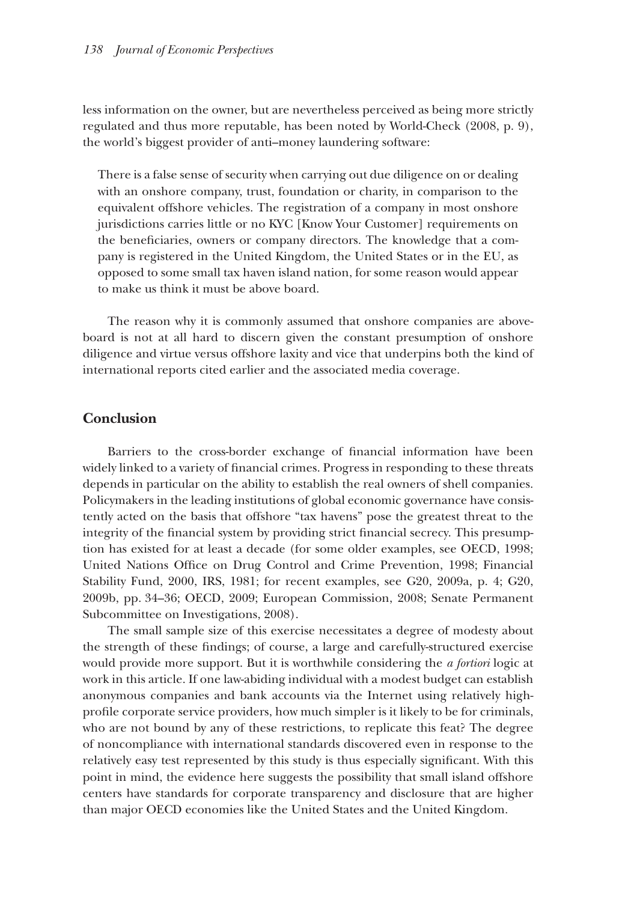less information on the owner, but are nevertheless perceived as being more strictly regulated and thus more reputable, has been noted by World-Check (2008, p. 9), the world's biggest provider of anti–money laundering software:

There is a false sense of security when carrying out due diligence on or dealing with an onshore company, trust, foundation or charity, in comparison to the equivalent offshore vehicles. The registration of a company in most onshore jurisdictions carries little or no KYC [Know Your Customer] requirements on the beneficiaries, owners or company directors. The knowledge that a company is registered in the United Kingdom, the United States or in the EU, as opposed to some small tax haven island nation, for some reason would appear to make us think it must be above board.

The reason why it is commonly assumed that onshore companies are aboveboard is not at all hard to discern given the constant presumption of onshore diligence and virtue versus offshore laxity and vice that underpins both the kind of international reports cited earlier and the associated media coverage.

# **Conclusion onclusion**

Barriers to the cross-border exchange of financial information have been widely linked to a variety of financial crimes. Progress in responding to these threats depends in particular on the ability to establish the real owners of shell companies. Policymakers in the leading institutions of global economic governance have consistently acted on the basis that offshore "tax havens" pose the greatest threat to the integrity of the financial system by providing strict financial secrecy. This presumption has existed for at least a decade (for some older examples, see OECD, 1998; United Nations Office on Drug Control and Crime Prevention, 1998; Financial Stability Fund, 2000, IRS, 1981; for recent examples, see G20, 2009a, p. 4; G20, 2009b, pp. 34–36; OECD, 2009; European Commission, 2008; Senate Permanent Subcommittee on Investigations, 2008).

The small sample size of this exercise necessitates a degree of modesty about the strength of these findings; of course, a large and carefully-structured exercise would provide more support. But it is worthwhile considering the *a fortiori* logic at work in this article. If one law-abiding individual with a modest budget can establish anonymous companies and bank accounts via the Internet using relatively highprofile corporate service providers, how much simpler is it likely to be for criminals, who are not bound by any of these restrictions, to replicate this feat? The degree of noncompliance with international standards discovered even in response to the relatively easy test represented by this study is thus especially significant. With this point in mind, the evidence here suggests the possibility that small island offshore centers have standards for corporate transparency and disclosure that are higher than major OECD economies like the United States and the United Kingdom.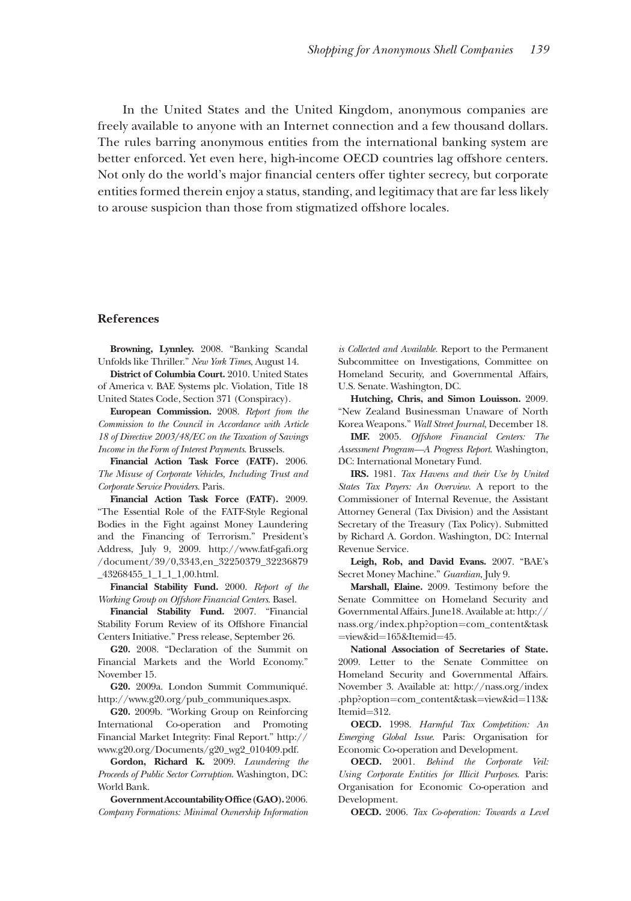In the United States and the United Kingdom, anonymous companies are freely available to anyone with an Internet connection and a few thousand dollars. The rules barring anonymous entities from the international banking system are better enforced. Yet even here, high-income OECD countries lag offshore centers. Not only do the world's major financial centers offer tighter secrecy, but corporate entities formed therein enjoy a status, standing, and legitimacy that are far less likely to arouse suspicion than those from stigmatized offshore locales.

#### **References**

**Browning, Lynnley.** 2008. "Banking Scandal Unfolds like Thriller." *New York Times*, August 14.

**District of Columbia Court.** 2010. United States of America v. BAE Systems plc. Violation, Title 18 United States Code, Section 371 (Conspiracy).

**European Commission.** 2008. *Report from the Commission to the Council in Accordance with Article 18 of Directive 2003/48/EC on the Taxation of Savings Income in the Form of Interest Payments*. Brussels.

**Financial Action Task Force (FATF).** 2006. *The Misuse of Corporate Vehicles, Including Trust and Corporate Service Providers*. Paris.

**Financial Action Task Force (FATF).** 2009. "The Essential Role of the FATF-Style Regional Bodies in the Fight against Money Laundering and the Financing of Terrorism." President's Address, July 9, 2009. http://www.fatf-gafi.org /document/39/0,3343,en\_32250379\_32236879 \_43268455\_1\_1\_1\_1,00.html.

**Financial Stability Fund.** 2000. *Report of the Working Group on Offshore Financial Centers*. Basel.

**Financial Stability Fund.** 2007. "Financial Stability Forum Review of its Offshore Financial Centers Initiative." Press release, September 26.

**G20.** 2008. "Declaration of the Summit on Financial Markets and the World Economy." November 15.

**G20.** 2009a. London Summit Communiqué. http://www.g20.org/pub\_communiques.aspx.

**G20.** 2009b. "Working Group on Reinforcing International Co-operation and Promoting Financial Market Integrity: Final Report." http:// www.g20.org/Documents/g20\_wg2\_010409.pdf.

**Gordon, Richard K.** 2009. *Laundering the Proceeds of Public Sector Corruption*. Washington, DC: World Bank.

Government Accountability Office (GAO). 2006. *Company Formations: Minimal Ownership Information*  *is Collected and Available.* Report to the Permanent Subcommittee on Investigations, Committee on Homeland Security, and Governmental Affairs, U.S. Senate. Washington, DC.

**Hutching, Chris, and Simon Louisson.** 2009. "New Zealand Businessman Unaware of North Korea Weapons." *Wall Street Journal*, December 18.

**IMF.** 2005. *Offshore Financial Centers: The Assessment Program—A Progress Report*. Washington, DC: International Monetary Fund.

**IRS.** 1981. *Tax Havens and their Use by United States Tax Payers: An Overview*. A report to the Commissioner of Internal Revenue, the Assistant Attorney General (Tax Division) and the Assistant Secretary of the Treasury (Tax Policy). Submitted by Richard A. Gordon. Washington, DC: Internal Revenue Service.

**Leigh, Rob, and David Evans.** 2007. "BAE's Secret Money Machine." *Guardian*, July 9.

**Marshall, Elaine.** 2009. Testimony before the Senate Committee on Homeland Security and Governmental Affairs. June18. Available at: http:// nass.org/index.php?option=com\_content&task =view&id=165&Itemid=45.

**National Association of Secretaries of State.**  2009. Letter to the Senate Committee on Homeland Security and Governmental Affairs. November 3. Available at: http://nass.org/index .php?option=com\_content&task=view&id=113& Itemid=312.

**OECD.** 1998. *Harmful Tax Competition: An Emerging Global Issue*. Paris: Organisation for Economic Co-operation and Development.

**OECD.** 2001. *Behind the Corporate Veil: Using Corporate Entities for Illicit Purposes*. Paris: Organisation for Economic Co-operation and Development.

**OECD.** 2006. *Tax Co-operation: Towards a Level*